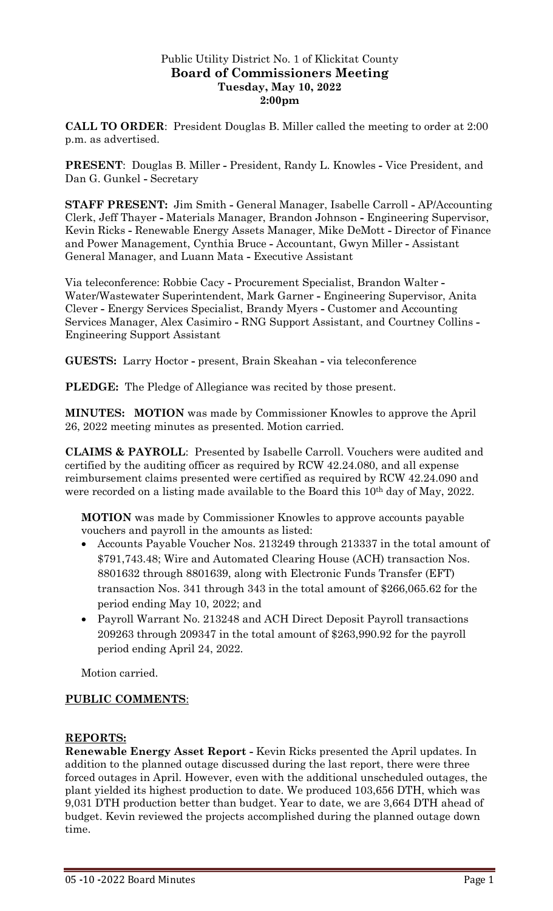# Public Utility District No. 1 of Klickitat County **Board of Commissioners Meeting Tuesday, May 10, 2022 2:00pm**

**CALL TO ORDER**: President Douglas B. Miller called the meeting to order at 2:00 p.m. as advertised.

**PRESENT**: Douglas B. Miller **-** President, Randy L. Knowles **-** Vice President, and Dan G. Gunkel **-** Secretary

**STAFF PRESENT:** Jim Smith **-** General Manager, Isabelle Carroll **-** AP/Accounting Clerk, Jeff Thayer **-** Materials Manager, Brandon Johnson **-** Engineering Supervisor, Kevin Ricks **-** Renewable Energy Assets Manager, Mike DeMott **-** Director of Finance and Power Management, Cynthia Bruce **-** Accountant, Gwyn Miller **-** Assistant General Manager, and Luann Mata **-** Executive Assistant

Via teleconference: Robbie Cacy **-** Procurement Specialist, Brandon Walter **-** Water/Wastewater Superintendent, Mark Garner **-** Engineering Supervisor, Anita Clever **-** Energy Services Specialist, Brandy Myers **-** Customer and Accounting Services Manager, Alex Casimiro **-** RNG Support Assistant, and Courtney Collins **-** Engineering Support Assistant

**GUESTS:** Larry Hoctor **-** present, Brain Skeahan **-** via teleconference

**PLEDGE:** The Pledge of Allegiance was recited by those present.

**MINUTES: MOTION** was made by Commissioner Knowles to approve the April 26, 2022 meeting minutes as presented. Motion carried.

**CLAIMS & PAYROLL**: Presented by Isabelle Carroll. Vouchers were audited and certified by the auditing officer as required by RCW 42.24.080, and all expense reimbursement claims presented were certified as required by RCW 42.24.090 and were recorded on a listing made available to the Board this 10<sup>th</sup> day of May, 2022.

**MOTION** was made by Commissioner Knowles to approve accounts payable vouchers and payroll in the amounts as listed:

- Accounts Payable Voucher Nos. 213249 through 213337 in the total amount of \$791,743.48; Wire and Automated Clearing House (ACH) transaction Nos. 8801632 through 8801639, along with Electronic Funds Transfer (EFT) transaction Nos. 341 through 343 in the total amount of \$266,065.62 for the period ending May 10, 2022; and
- Payroll Warrant No. 213248 and ACH Direct Deposit Payroll transactions 209263 through 209347 in the total amount of \$263,990.92 for the payroll period ending April 24, 2022.

Motion carried.

# **PUBLIC COMMENTS**:

#### **REPORTS:**

**Renewable Energy Asset Report -** Kevin Ricks presented the April updates. In addition to the planned outage discussed during the last report, there were three forced outages in April. However, even with the additional unscheduled outages, the plant yielded its highest production to date. We produced 103,656 DTH, which was 9,031 DTH production better than budget. Year to date, we are 3,664 DTH ahead of budget. Kevin reviewed the projects accomplished during the planned outage down time.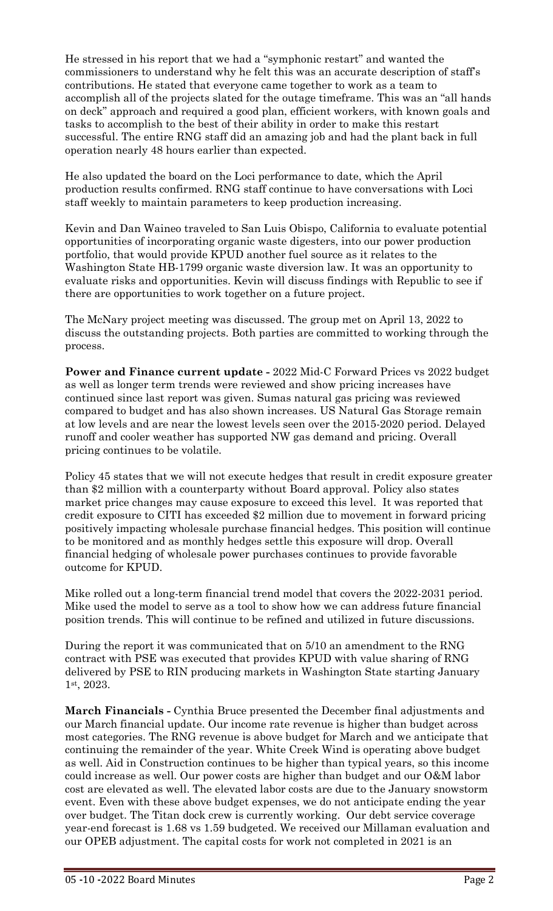He stressed in his report that we had a "symphonic restart" and wanted the commissioners to understand why he felt this was an accurate description of staff's contributions. He stated that everyone came together to work as a team to accomplish all of the projects slated for the outage timeframe. This was an "all hands on deck" approach and required a good plan, efficient workers, with known goals and tasks to accomplish to the best of their ability in order to make this restart successful. The entire RNG staff did an amazing job and had the plant back in full operation nearly 48 hours earlier than expected.

He also updated the board on the Loci performance to date, which the April production results confirmed. RNG staff continue to have conversations with Loci staff weekly to maintain parameters to keep production increasing.

Kevin and Dan Waineo traveled to San Luis Obispo, California to evaluate potential opportunities of incorporating organic waste digesters, into our power production portfolio, that would provide KPUD another fuel source as it relates to the Washington State HB-1799 organic waste diversion law. It was an opportunity to evaluate risks and opportunities. Kevin will discuss findings with Republic to see if there are opportunities to work together on a future project.

The McNary project meeting was discussed. The group met on April 13, 2022 to discuss the outstanding projects. Both parties are committed to working through the process.

**Power and Finance current update -** 2022 Mid-C Forward Prices vs 2022 budget as well as longer term trends were reviewed and show pricing increases have continued since last report was given. Sumas natural gas pricing was reviewed compared to budget and has also shown increases. US Natural Gas Storage remain at low levels and are near the lowest levels seen over the 2015-2020 period. Delayed runoff and cooler weather has supported NW gas demand and pricing. Overall pricing continues to be volatile.

Policy 45 states that we will not execute hedges that result in credit exposure greater than \$2 million with a counterparty without Board approval. Policy also states market price changes may cause exposure to exceed this level. It was reported that credit exposure to CITI has exceeded \$2 million due to movement in forward pricing positively impacting wholesale purchase financial hedges. This position will continue to be monitored and as monthly hedges settle this exposure will drop. Overall financial hedging of wholesale power purchases continues to provide favorable outcome for KPUD.

Mike rolled out a long-term financial trend model that covers the 2022-2031 period. Mike used the model to serve as a tool to show how we can address future financial position trends. This will continue to be refined and utilized in future discussions.

During the report it was communicated that on 5/10 an amendment to the RNG contract with PSE was executed that provides KPUD with value sharing of RNG delivered by PSE to RIN producing markets in Washington State starting January 1st, 2023.

**March Financials -** Cynthia Bruce presented the December final adjustments and our March financial update. Our income rate revenue is higher than budget across most categories. The RNG revenue is above budget for March and we anticipate that continuing the remainder of the year. White Creek Wind is operating above budget as well. Aid in Construction continues to be higher than typical years, so this income could increase as well. Our power costs are higher than budget and our O&M labor cost are elevated as well. The elevated labor costs are due to the January snowstorm event. Even with these above budget expenses, we do not anticipate ending the year over budget. The Titan dock crew is currently working. Our debt service coverage year-end forecast is 1.68 vs 1.59 budgeted. We received our Millaman evaluation and our OPEB adjustment. The capital costs for work not completed in 2021 is an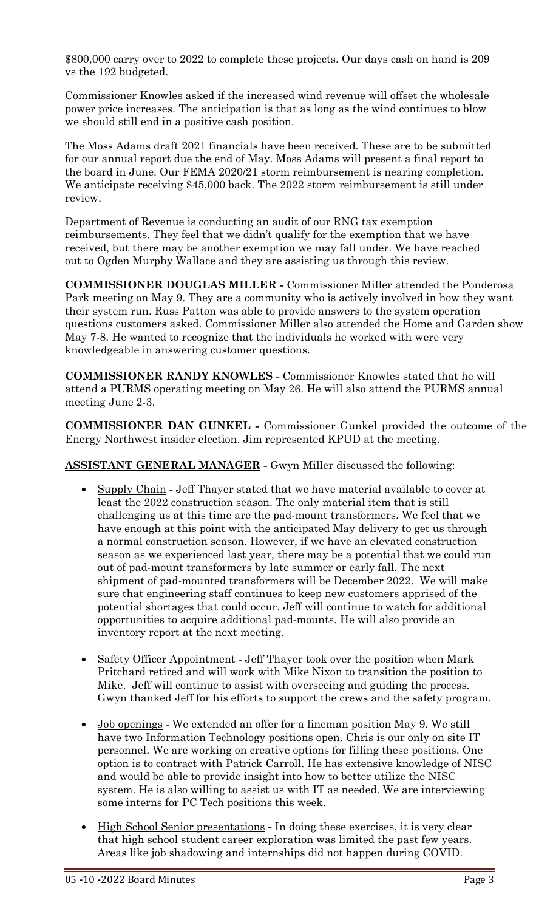\$800,000 carry over to 2022 to complete these projects. Our days cash on hand is 209 vs the 192 budgeted.

Commissioner Knowles asked if the increased wind revenue will offset the wholesale power price increases. The anticipation is that as long as the wind continues to blow we should still end in a positive cash position.

The Moss Adams draft 2021 financials have been received. These are to be submitted for our annual report due the end of May. Moss Adams will present a final report to the board in June. Our FEMA 2020/21 storm reimbursement is nearing completion. We anticipate receiving \$45,000 back. The 2022 storm reimbursement is still under review.

Department of Revenue is conducting an audit of our RNG tax exemption reimbursements. They feel that we didn't qualify for the exemption that we have received, but there may be another exemption we may fall under. We have reached out to Ogden Murphy Wallace and they are assisting us through this review.

**COMMISSIONER DOUGLAS MILLER -** Commissioner Miller attended the Ponderosa Park meeting on May 9. They are a community who is actively involved in how they want their system run. Russ Patton was able to provide answers to the system operation questions customers asked. Commissioner Miller also attended the Home and Garden show May 7-8. He wanted to recognize that the individuals he worked with were very knowledgeable in answering customer questions.

**COMMISSIONER RANDY KNOWLES -** Commissioner Knowles stated that he will attend a PURMS operating meeting on May 26. He will also attend the PURMS annual meeting June 2-3.

**COMMISSIONER DAN GUNKEL -** Commissioner Gunkel provided the outcome of the Energy Northwest insider election. Jim represented KPUD at the meeting.

**ASSISTANT GENERAL MANAGER -** Gwyn Miller discussed the following:

- Supply Chain **-** Jeff Thayer stated that we have material available to cover at least the 2022 construction season. The only material item that is still challenging us at this time are the pad-mount transformers. We feel that we have enough at this point with the anticipated May delivery to get us through a normal construction season. However, if we have an elevated construction season as we experienced last year, there may be a potential that we could run out of pad-mount transformers by late summer or early fall. The next shipment of pad-mounted transformers will be December 2022. We will make sure that engineering staff continues to keep new customers apprised of the potential shortages that could occur. Jeff will continue to watch for additional opportunities to acquire additional pad-mounts. He will also provide an inventory report at the next meeting.
- Safety Officer Appointment **-** Jeff Thayer took over the position when Mark Pritchard retired and will work with Mike Nixon to transition the position to Mike. Jeff will continue to assist with overseeing and guiding the process. Gwyn thanked Jeff for his efforts to support the crews and the safety program.
- Job openings **-** We extended an offer for a lineman position May 9. We still have two Information Technology positions open. Chris is our only on site IT personnel. We are working on creative options for filling these positions. One option is to contract with Patrick Carroll. He has extensive knowledge of NISC and would be able to provide insight into how to better utilize the NISC system. He is also willing to assist us with IT as needed. We are interviewing some interns for PC Tech positions this week.
- High School Senior presentations **-** In doing these exercises, it is very clear that high school student career exploration was limited the past few years. Areas like job shadowing and internships did not happen during COVID.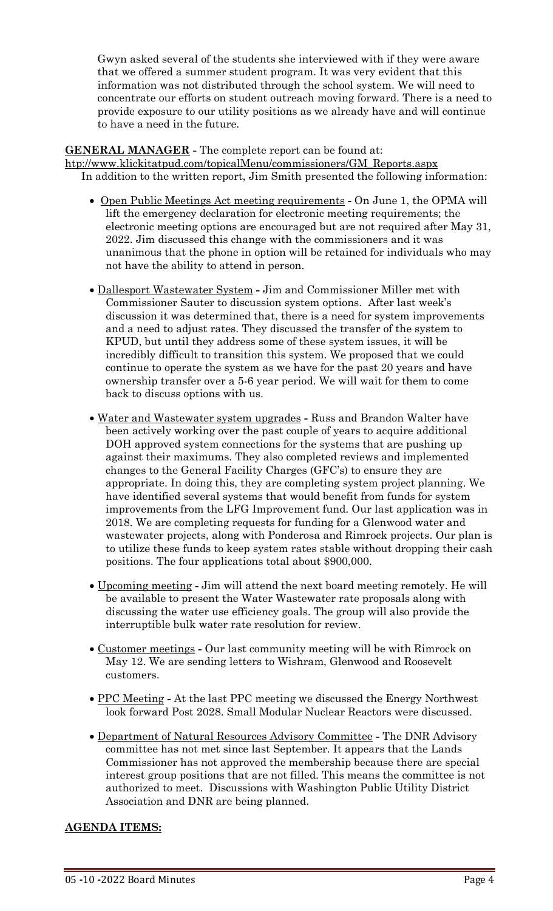Gwyn asked several of the students she interviewed with if they were aware that we offered a summer student program. It was very evident that this information was not distributed through the school system. We will need to concentrate our efforts on student outreach moving forward. There is a need to provide exposure to our utility positions as we already have and will continue to have a need in the future.

# **GENERAL MANAGER -** The complete report can be found at:

[htp://www.klickitatpud.com/topicalMenu/commissioners/GM\\_Reports.aspx](http://www.klickitatpud.com/topicalMenu/commissioners/GM_Reports.aspx) In addition to the written report, Jim Smith presented the following information:

- Open Public Meetings Act meeting requirements **-** On June 1, the OPMA will lift the emergency declaration for electronic meeting requirements; the electronic meeting options are encouraged but are not required after May 31, 2022. Jim discussed this change with the commissioners and it was unanimous that the phone in option will be retained for individuals who may not have the ability to attend in person.
- Dallesport Wastewater System **-** Jim and Commissioner Miller met with Commissioner Sauter to discussion system options. After last week's discussion it was determined that, there is a need for system improvements and a need to adjust rates. They discussed the transfer of the system to KPUD, but until they address some of these system issues, it will be incredibly difficult to transition this system. We proposed that we could continue to operate the system as we have for the past 20 years and have ownership transfer over a 5-6 year period. We will wait for them to come back to discuss options with us.
- Water and Wastewater system upgrades **-** Russ and Brandon Walter have been actively working over the past couple of years to acquire additional DOH approved system connections for the systems that are pushing up against their maximums. They also completed reviews and implemented changes to the General Facility Charges (GFC's) to ensure they are appropriate. In doing this, they are completing system project planning. We have identified several systems that would benefit from funds for system improvements from the LFG Improvement fund. Our last application was in 2018. We are completing requests for funding for a Glenwood water and wastewater projects, along with Ponderosa and Rimrock projects. Our plan is to utilize these funds to keep system rates stable without dropping their cash positions. The four applications total about \$900,000.
- Upcoming meeting **-** Jim will attend the next board meeting remotely. He will be available to present the Water Wastewater rate proposals along with discussing the water use efficiency goals. The group will also provide the interruptible bulk water rate resolution for review.
- Customer meetings **-** Our last community meeting will be with Rimrock on May 12. We are sending letters to Wishram, Glenwood and Roosevelt customers.
- PPC Meeting **-** At the last PPC meeting we discussed the Energy Northwest look forward Post 2028. Small Modular Nuclear Reactors were discussed.
- Department of Natural Resources Advisory Committee **-** The DNR Advisory committee has not met since last September. It appears that the Lands Commissioner has not approved the membership because there are special interest group positions that are not filled. This means the committee is not authorized to meet. Discussions with Washington Public Utility District Association and DNR are being planned.

# **AGENDA ITEMS:**